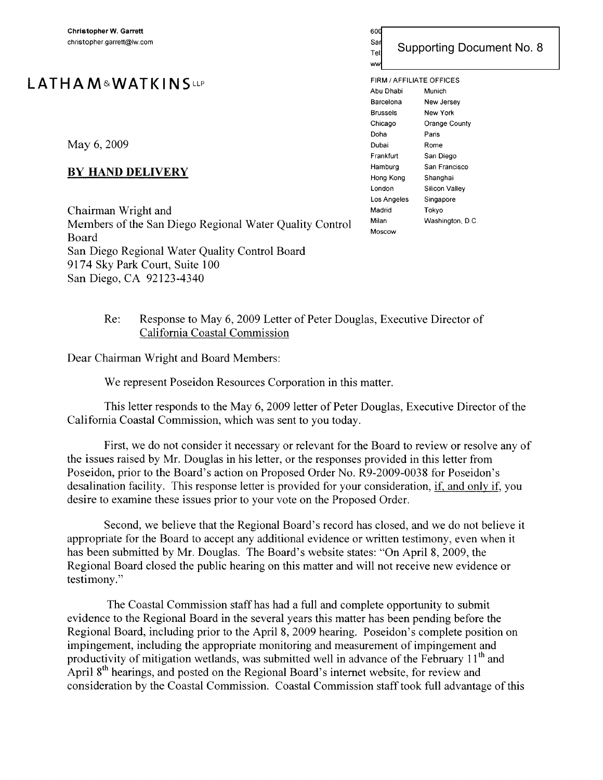# **LATHA M&WATK IN** SLLP

May 6, 2009

## **BY HAND DELIVERY**

Chairman Wright and Members of the San Diego Regional Water Quality Control Board San Diego Regional Water Quality Control Board 9174 Sky Park Court, Suite 100 San Diego, CA 92123-4340

## 600 West Broadway, Suite 1800 San Diego, California 921  $T_{\text{rel}}$  Supporting Document No. 8 FIRM / AFFILIATE OFFICES

Abu Dhabi Munich Barcelona New Jersey Brussels New York Chicago Orange County Doha Paris Dubai Rome Frankfurt San Diego Hamburg San Francisco Hong Kong Shanghai London Silicon Valley Los Angeles Singapore Madrid Tokyo Milan Washington, D.C. Moscow

ww

## Re: Response to May 6, 2009 Letter of Peter Douglas, Executive Director of California Coastal Commission

Dear Chairman Wright and Board Members:

We represent Poseidon Resources Corporation in this matter.

This letter responds to the May 6, 2009 letter of Peter Douglas, Executive Director of the California Coastal Commission, which was sent to you today\_

First, we do not consider it necessary or relevant for the Board to review or resolve any of the issues raised by Mr. Douglas in his letter, or the responses provided in this letter from Poseidon, prior to the Board's action on Proposed Order No. R9-2009-0038 for Poseidon's desalination facility. This response letter is provided for your consideration, if, and only if, you desire to examine these issues prior to your vote on the Proposed Order.

Second, we believe that the Regional Board's record has closed, and we do not believe it appropriate for the Board to accept any additional evidence or written testimony, even when it has been submitted by Mr. Douglas. The Board's website states: "On April 8, 2009, the Regional Board closed the public hearing on this matter and will not receive new evidence or testimony."

The Coastal Commission staff has had a full and complete opportunity to submit evidence to the Regional Board in the several years this matter has been pending before the Regional Board, including prior to the April 8, 2009 hearing. Poseidon's complete position on impingement, including the appropriate monitoring and measurement of impingement and productivity of mitigation wetlands, was submitted well in advance of the February  $11<sup>th</sup>$  and April 8<sup>th</sup> hearings, and posted on the Regional Board's internet website, for review and consideration by the Coastal Commission. Coastal Commission staff took full advantage of this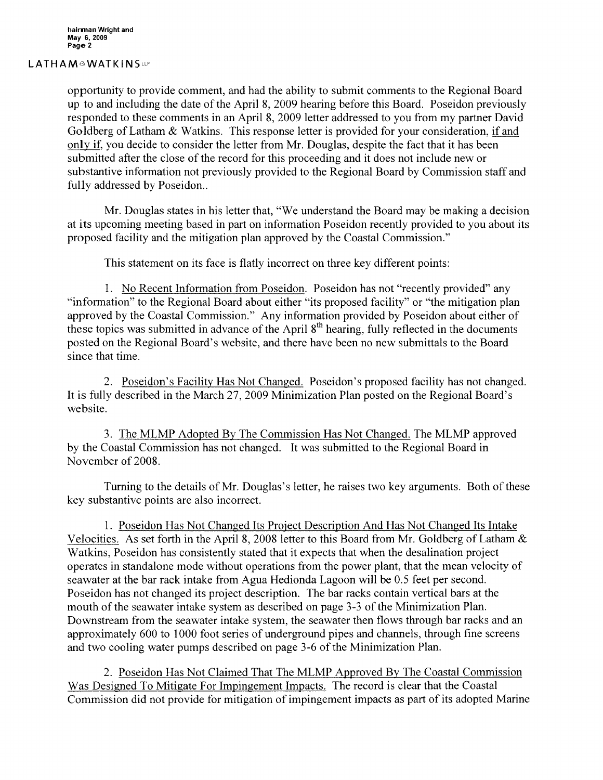#### LATHAM&WATKINSup

opportunity to provide comment, and had the ability to submit comments to the Regional Board up to and including the date of the April 8, 2009 hearing before this Board. Poseidon previously responded to these comments in an April 8, 2009 letter addressed to you from my partner David Goldberg of Latham & Watkins. This response letter is provided for your consideration, if and only if, you decide to consider the letter from Mr. Douglas, despite the fact that it has been submitted after the close of the record for this proceeding and it does not include new or substantive information not previously provided to the Regional Board by Commission staff and fully addressed by Poseidon..

Mr. Douglas states in his letter that, "We understand the Board may be making a decision at its upcoming meeting based in part on information Poseidon recently provided to you about its proposed facility and the mitigation plan approved by the Coastal Commission."

This statement on its face is flatly incorrect on three key different points:

1. No Recent Information from Poseidon. Poseidon has not "recently provided" any "information" to the Regional Board about either "its proposed facility" or "the mitigation plan approved by the Coastal Commission." Any information provided by Poseidon about either of these topics was submitted in advance of the April 8<sup>th</sup> hearing, fully reflected in the documents posted on the Regional Board's website, and there have been no new submittals to the Board since that time.

2. Poseidon's Facility Has Not Changed. Poseidon's proposed facility has not changed. It is fully described in the March 27, 2009 Minimization Plan posted on the Regional Board's website.

3. The MLMP Adopted By The Commission Has Not Changed. The MLMP approved by the Coastal Commission has not changed. It was submitted to the Regional Board in November of 2008.

Turning to the details of Mr. Douglas's letter, he raises two key arguments. Both of these key substantive points are also incorrect.

1. Poseidon Has Not Changed Its Project Description And Has Not Changed Its Intake Velocities. As set forth in the April 8, 2008 letter to this Board from Mr. Goldberg of Latham & Watkins, Poseidon has consistently stated that it expects that when the desalination project operates in standalone mode without operations from the power plant, that the mean velocity of seawater at the bar rack intake from Agua Hedionda Lagoon will be 0.5 feet per second. Poseidon has not changed its project description. The bar racks contain vertical bars at the mouth of the seawater intake system as described on page 3-3 of the Minimization Plan. Downstream from the seawater intake system, the seawater then flows through bar racks and an approximately 600 to 1000 foot series of underground pipes and channels, through fine screens and two cooling water pumps described on page 3-6 of the Minimization Plan.

2. Poseidon Has Not Claimed That The MLMP Approved By The Coastal Commission Was Designed To Mitigate For Impingement Impacts. The record is clear that the Coastal Commission did not provide for mitigation of impingement impacts as part of its adopted Marine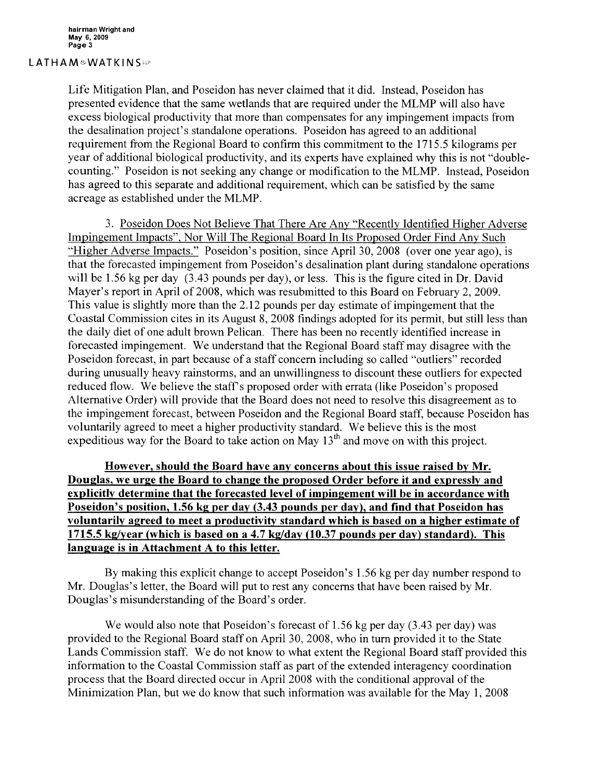### LATHAM&WATKINSLP

Life Mitigation Plan, and Poseidon has never claimed that it did. Instead, Poseidon has presented evidence that the same wetlands that are required under the MLMP will also have excess biological productivity that more than compensates for any impingement impacts from the desalination project's standalone operations. Poseidon has agreed to an additional requirement from the Regional Board to confirm this commitment to the 1715.5 kilograms per year of additional biological productivity, and its experts have explained why this is not "doublecounting." Poseidon is not seeking any change or modification to the MLMP. Instead, Poseidon has agreed to this separate and additional requirement, which can be satisfied by the same acreage as established under the MLMP.

3. Poseidon Does Not Believe That There Are Any "Recently Identified Higher Adverse Impingement Impacts", Nor Will The Regional Board **In** Its Proposed Order Find Any Such "Higher Adverse Impacts." Poseidon's position, since April 30, 2008 (over one year ago), is that the forecasted impingement from Poseidon's desalination plant during standalone operations will be 1.56 kg per day (3.43 pounds per day), or less. This is the figure cited in Dr. David Mayer's report in April of 2008, which was resubmitted to this Board on February 2, 2009. This value is slightly more than the 2.12 pounds per day estimate of impingement that the Coastal Commission cites in its August 8, 2008 findings adopted for its permit, but still less than the daily diet of one adult brown Pelican. There has been no recently identified increase in forecasted impingement. We understand that the Regional Board staff may disagree with the Poseidon forecast, in part because of a staff concern including so called "outliers" recorded during unusually heavy rainstorms, and an unwillingness to discount these outliers for expected reduced flow. We believe the staff's proposed order with errata (like Poseidon's proposed Alternative Order) will provide that the Board does not need to resolve this disagreement as to the impingement forecast, between Poseidon and the Regional Board staff, because Poseidon has voluntarily agreed to meet a higher productivity standard. We believe this is the most expeditious way for the Board to take action on May  $13<sup>th</sup>$  and move on with this project.

**However, should the Board have any concerns about this issue raised by Mr. Douglas, we urge the Board to change the proposed Order before it and expressly and explicitly determine that the forecasted level of impingement will be in accordance with Poseidon's position, 1.56 kg per day (3.43 pounds per day), and find that Poseidon has voluntarily agreed to meet a productivity standard which is based on a higher estimate of 1715.5 kg/year (which is based on a 4.7 kg/day (10.37 pounds per day) standard}. This language is in Attachment A to this letter.**

By making this explicit change to accept Poseidon's 1.56 kg per day number respond to Mr. Douglas's letter, the Board will put to rest any concerns that have been raised by Mr. Douglas's misunderstanding of the Board's order.

We would also note that Poseidon's forecast of 1.56 kg per day (3.43 per day) was provided to the Regional Board staff on April 30, 2008, who in tum provided it to the State Lands Commission staff. We do not know to what extent the Regional Board staff provided this information to the Coastal Commission staff as part of the extended interagency coordination process that the Board directed occur in April 2008 with the conditional approval of the Minimization Plan, but we do know that such information was available for the May 1, 2008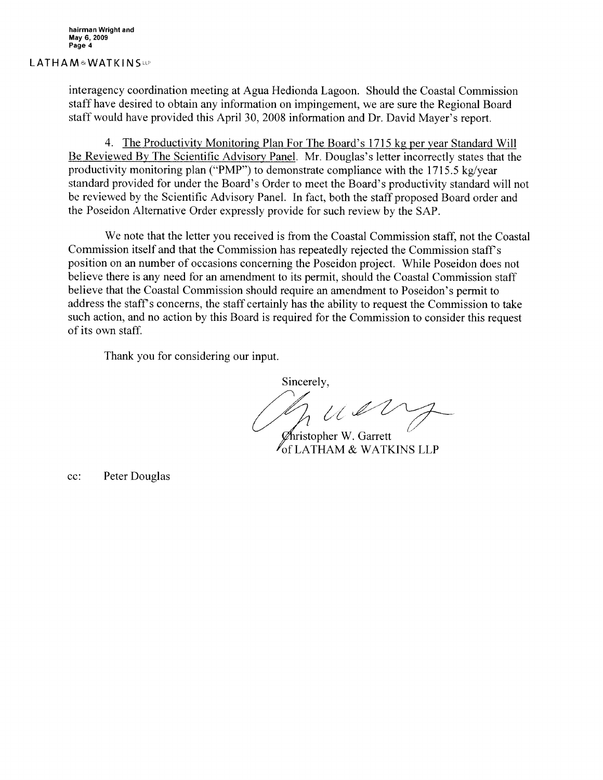#### LATHAM&WATKINSLP

interagency coordination meeting at Agua Hedionda Lagoon. Should the Coastal Commission staff have desired to obtain any information on impingement, we are sure the Regional Board staff would have provided this April 30, 2008 information and Dr. David Mayer's report.

4. The Productivity Monitoring Plan For The Board's 1715 kg per year Standard Will Be Reviewed By The Scientific Advisory Panel. Mr. Douglas's letter incorrectly states that the productivity monitoring plan ("PMP") to demonstrate compliance with the 1715.5 kg/year standard provided for under the Board's Order to meet the Board's productivity standard will not be reviewed by the Scientific Advisory Panel. In fact, both the staff proposed Board order and the Poseidon Alternative Order expressly provide for such review by the SAP.

We note that the letter you received is from the Coastal Commission staff, not the Coastal Commission itself and that the Commission has repeatedly rejected the Commission staff's position on an number of occasions concerning the Poseidon project. While Poseidon does not believe there is any need for an amendment to its permit, should the Coastal Commission staff believe that the Coastal Commission should require an amendment to Poseidon's permit to address the staff's concerns, the staff certainly has the ability to request the Commission to take such action, and no action by this Board is required for the Commission to consider this request of its own staff.

Thank you for considering our input.

Sincerely,

 $uv$ 

 $\mathscr{D}$ hristopher W. Garrett of LATHAM & WATKINS LLP

cc: Peter Douglas